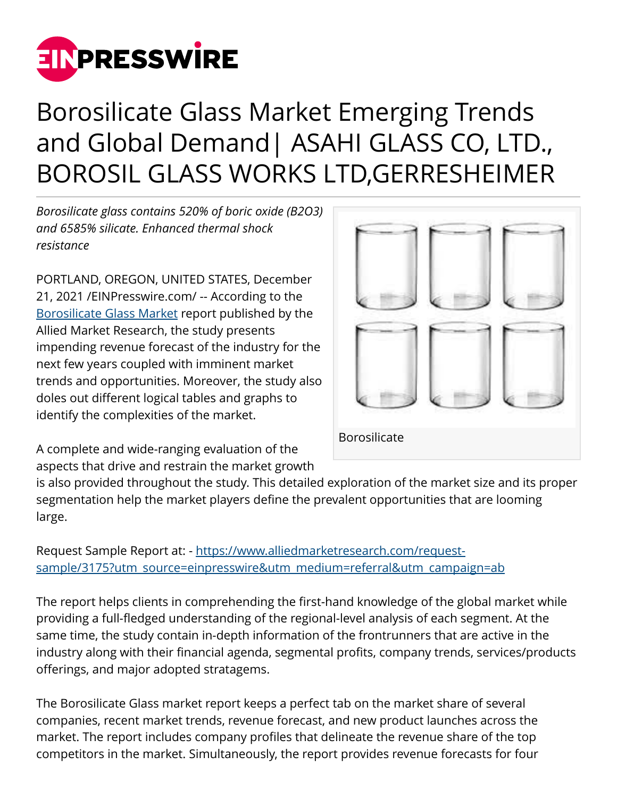

## Borosilicate Glass Market Emerging Trends and Global Demand| ASAHI GLASS CO, LTD., BOROSIL GLASS WORKS LTD,GERRESHEIMER

*Borosilicate glass contains 520% of boric oxide (B2O3) and 6585% silicate. Enhanced thermal shock resistance*

PORTLAND, OREGON, UNITED STATES, December 21, 2021 /[EINPresswire.com/](http://www.einpresswire.com) -- According to the [Borosilicate Glass Market](https://www.alliedmarketresearch.com/borosilicate-glass-market) report published by the Allied Market Research, the study presents impending revenue forecast of the industry for the next few years coupled with imminent market trends and opportunities. Moreover, the study also doles out different logical tables and graphs to identify the complexities of the market.



A complete and wide-ranging evaluation of the aspects that drive and restrain the market growth

is also provided throughout the study. This detailed exploration of the market size and its proper segmentation help the market players define the prevalent opportunities that are looming large.

Request Sample Report at: - [https://www.alliedmarketresearch.com/request](https://www.alliedmarketresearch.com/request-sample/3175?utm_source=einpresswire&utm_medium=referral&utm_campaign=ab)[sample/3175?utm\\_source=einpresswire&utm\\_medium=referral&utm\\_campaign=ab](https://www.alliedmarketresearch.com/request-sample/3175?utm_source=einpresswire&utm_medium=referral&utm_campaign=ab)

The report helps clients in comprehending the first-hand knowledge of the global market while providing a full-fledged understanding of the regional-level analysis of each segment. At the same time, the study contain in-depth information of the frontrunners that are active in the industry along with their financial agenda, segmental profits, company trends, services/products offerings, and major adopted stratagems.

The Borosilicate Glass market report keeps a perfect tab on the market share of several companies, recent market trends, revenue forecast, and new product launches across the market. The report includes company profiles that delineate the revenue share of the top competitors in the market. Simultaneously, the report provides revenue forecasts for four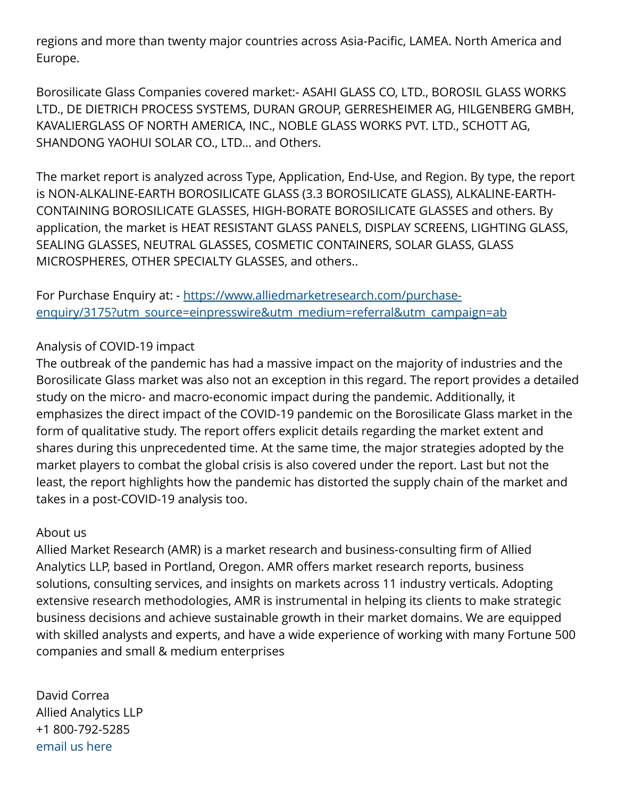regions and more than twenty major countries across Asia-Pacific, LAMEA. North America and Europe.

Borosilicate Glass Companies covered market:- ASAHI GLASS CO, LTD., BOROSIL GLASS WORKS LTD., DE DIETRICH PROCESS SYSTEMS, DURAN GROUP, GERRESHEIMER AG, HILGENBERG GMBH, KAVALIERGLASS OF NORTH AMERICA, INC., NOBLE GLASS WORKS PVT. LTD., SCHOTT AG, SHANDONG YAOHUI SOLAR CO., LTD... and Others.

The market report is analyzed across Type, Application, End-Use, and Region. By type, the report is NON-ALKALINE-EARTH BOROSILICATE GLASS (3.3 BOROSILICATE GLASS), ALKALINE-EARTH-CONTAINING BOROSILICATE GLASSES, HIGH-BORATE BOROSILICATE GLASSES and others. By application, the market is HEAT RESISTANT GLASS PANELS, DISPLAY SCREENS, LIGHTING GLASS, SEALING GLASSES, NEUTRAL GLASSES, COSMETIC CONTAINERS, SOLAR GLASS, GLASS MICROSPHERES, OTHER SPECIALTY GLASSES, and others..

For Purchase Enquiry at: - [https://www.alliedmarketresearch.com/purchase](https://www.alliedmarketresearch.com/purchase-enquiry/3175?utm_source=einpresswire&utm_medium=referral&utm_campaign=ab)[enquiry/3175?utm\\_source=einpresswire&utm\\_medium=referral&utm\\_campaign=ab](https://www.alliedmarketresearch.com/purchase-enquiry/3175?utm_source=einpresswire&utm_medium=referral&utm_campaign=ab)

## Analysis of COVID-19 impact

The outbreak of the pandemic has had a massive impact on the majority of industries and the Borosilicate Glass market was also not an exception in this regard. The report provides a detailed study on the micro- and macro-economic impact during the pandemic. Additionally, it emphasizes the direct impact of the COVID-19 pandemic on the Borosilicate Glass market in the form of qualitative study. The report offers explicit details regarding the market extent and shares during this unprecedented time. At the same time, the major strategies adopted by the market players to combat the global crisis is also covered under the report. Last but not the least, the report highlights how the pandemic has distorted the supply chain of the market and takes in a post-COVID-19 analysis too.

## About us

Allied Market Research (AMR) is a market research and business-consulting firm of Allied Analytics LLP, based in Portland, Oregon. AMR offers market research reports, business solutions, consulting services, and insights on markets across 11 industry verticals. Adopting extensive research methodologies, AMR is instrumental in helping its clients to make strategic business decisions and achieve sustainable growth in their market domains. We are equipped with skilled analysts and experts, and have a wide experience of working with many Fortune 500 companies and small & medium enterprises

David Correa Allied Analytics LLP +1 800-792-5285 [email us here](http://www.einpresswire.com/contact_author/3223286)